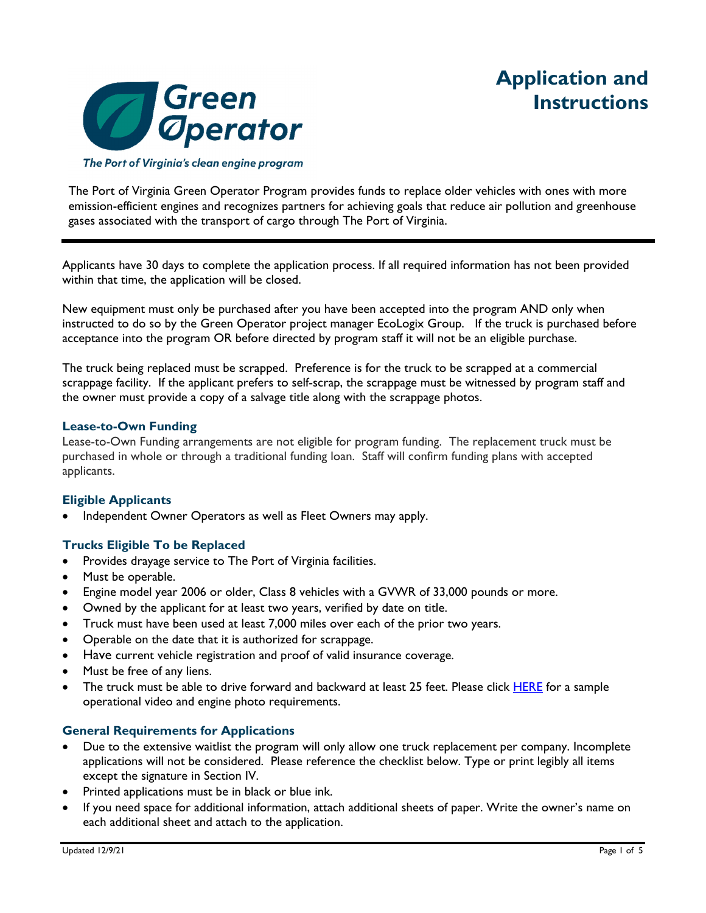

The Port of Virginia's clean engine program

The Port of Virginia Green Operator Program provides funds to replace older vehicles with ones with more emission-efficient engines and recognizes partners for achieving goals that reduce air pollution and greenhouse gases associated with the transport of cargo through The Port of Virginia.

Applicants have 30 days to complete the application process. If all required information has not been provided within that time, the application will be closed.

New equipment must only be purchased after you have been accepted into the program AND only when instructed to do so by the Green Operator project manager EcoLogix Group. If the truck is purchased before acceptance into the program OR before directed by program staff it will not be an eligible purchase.

The truck being replaced must be scrapped. Preference is for the truck to be scrapped at a commercial scrappage facility. If the applicant prefers to self-scrap, the scrappage must be witnessed by program staff and the owner must provide a copy of a salvage title along with the scrappage photos.

### **Lease-to-Own Funding**

Lease-to-Own Funding arrangements are not eligible for program funding. The replacement truck must be purchased in whole or through a traditional funding loan. Staff will confirm funding plans with accepted applicants.

### **Eligible Applicants**

Independent Owner Operators as well as Fleet Owners may apply.

## **Trucks Eligible To be Replaced**

- Provides drayage service to The Port of Virginia facilities.
- Must be operable.
- Engine model year 2006 or older, Class 8 vehicles with a GVWR of 33,000 pounds or more.
- Owned by the applicant for at least two years, verified by date on title.
- Truck must have been used at least 7,000 miles over each of the prior two years.
- Operable on the date that it is authorized for scrappage.
- Have current vehicle registration and proof of valid insurance coverage.
- Must be free of any liens.
- The truck must be able to drive forward and backward at least 25 feet. Please click HERE for a sample operational video and engine photo requirements.

### **General Requirements for Applications**

- Due to the extensive waitlist the program will only allow one truck replacement per company. Incomplete applications will not be considered. Please reference the checklist below. Type or print legibly all items except the signature in Section IV.
- Printed applications must be in black or blue ink.
- If you need space for additional information, attach additional sheets of paper. Write the owner's name on each additional sheet and attach to the application.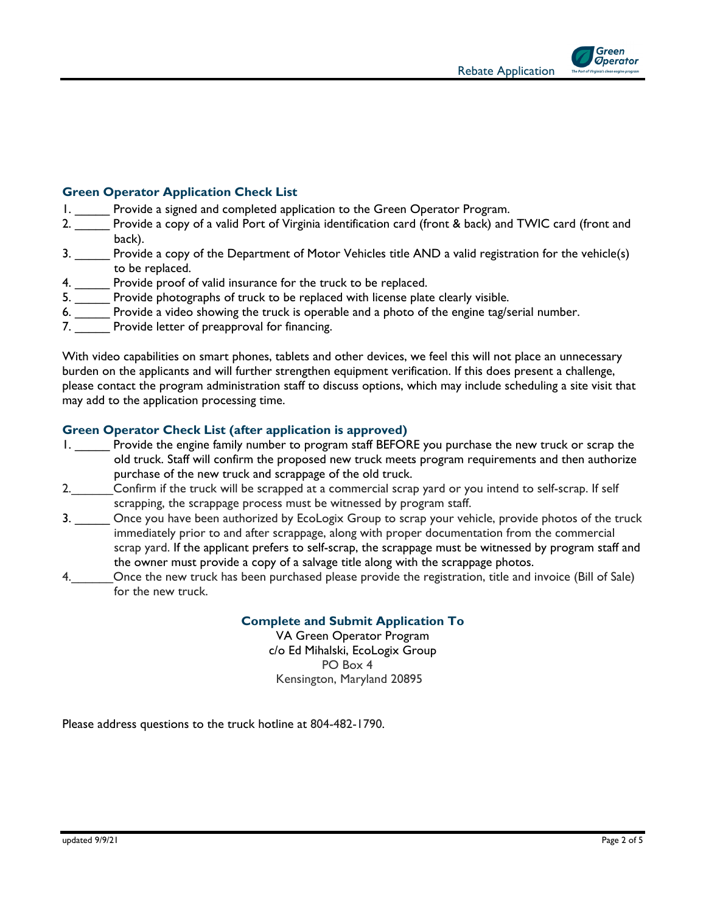

## **Green Operator Application Check List**

- Provide a signed and completed application to the Green Operator Program.
- 2. Provide a copy of a valid Port of Virginia identification card (front & back) and TWIC card (front and back).
- 3. Provide a copy of the Department of Motor Vehicles title AND a valid registration for the vehicle(s) to be replaced.
- 4. \_\_\_\_\_ Provide proof of valid insurance for the truck to be replaced.
- 5. \_\_\_\_\_\_ Provide photographs of truck to be replaced with license plate clearly visible.
- 6. Provide a video showing the truck is operable and a photo of the engine tag/serial number.
- 7. Provide letter of preapproval for financing.

With video capabilities on smart phones, tablets and other devices, we feel this will not place an unnecessary burden on the applicants and will further strengthen equipment verification. If this does present a challenge, please contact the program administration staff to discuss options, which may include scheduling a site visit that may add to the application processing time.

### **Green Operator Check List (after application is approved)**

- 1. Provide the engine family number to program staff BEFORE you purchase the new truck or scrap the old truck. Staff will confirm the proposed new truck meets program requirements and then authorize purchase of the new truck and scrappage of the old truck.
- 2. Confirm if the truck will be scrapped at a commercial scrap yard or you intend to self-scrap. If self scrapping, the scrappage process must be witnessed by program staff.
- 3. Chich you have been authorized by EcoLogix Group to scrap your vehicle, provide photos of the truck immediately prior to and after scrappage, along with proper documentation from the commercial scrap yard. If the applicant prefers to self-scrap, the scrappage must be witnessed by program staff and the owner must provide a copy of a salvage title along with the scrappage photos.
- 4. Once the new truck has been purchased please provide the registration, title and invoice (Bill of Sale) for the new truck.

### **Complete and Submit Application To**

VA Green Operator Program c/o Ed Mihalski, EcoLogix Group PO Box 4 Kensington, Maryland 20895

Please address questions to the truck hotline at 804-482-1790.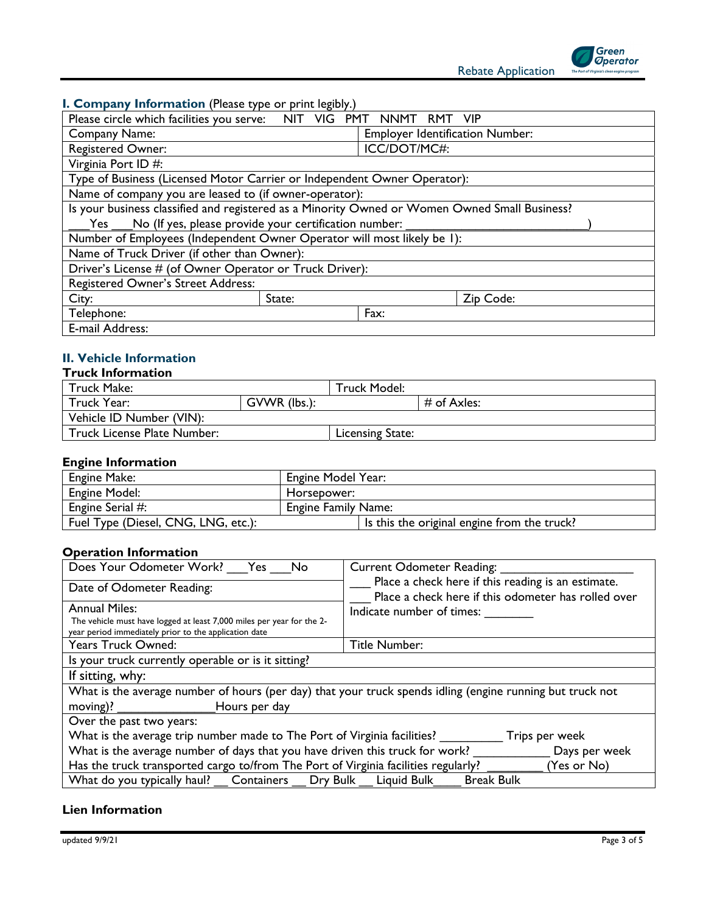## **I. Company Information** (Please type or print legibly.)

| Please circle which facilities you serve:                                                     | <b>NIT</b> |                                        |           |  |
|-----------------------------------------------------------------------------------------------|------------|----------------------------------------|-----------|--|
| Company Name:                                                                                 |            | <b>Employer Identification Number:</b> |           |  |
| <b>Registered Owner:</b>                                                                      |            | ICC/DOT/MC#:                           |           |  |
| Virginia Port ID #:                                                                           |            |                                        |           |  |
| Type of Business (Licensed Motor Carrier or Independent Owner Operator):                      |            |                                        |           |  |
| Name of company you are leased to (if owner-operator):                                        |            |                                        |           |  |
| Is your business classified and registered as a Minority Owned or Women Owned Small Business? |            |                                        |           |  |
| No (If yes, please provide your certification number:<br>Yes                                  |            |                                        |           |  |
| Number of Employees (Independent Owner Operator will most likely be 1):                       |            |                                        |           |  |
| Name of Truck Driver (if other than Owner):                                                   |            |                                        |           |  |
| Driver's License # (of Owner Operator or Truck Driver):                                       |            |                                        |           |  |
| Registered Owner's Street Address:                                                            |            |                                        |           |  |
| City:                                                                                         | State:     |                                        | Zip Code: |  |
| Telephone:                                                                                    |            | Fax:                                   |           |  |
| E-mail Address:                                                                               |            |                                        |           |  |

# **II. Vehicle Information**

#### **Truck Information**

| Truck Make:                 |              | Truck Model:     |                |
|-----------------------------|--------------|------------------|----------------|
| Truck Year:                 | GVWR (lbs.): |                  | $\#$ of Axles: |
| Vehicle ID Number (VIN):    |              |                  |                |
| Truck License Plate Number: |              | Licensing State: |                |

## **Engine Information**

| Engine Make:                        | Engine Model Year:                          |  |
|-------------------------------------|---------------------------------------------|--|
| Engine Model:                       | Horsepower:                                 |  |
| Engine Serial #:                    | <b>Engine Family Name:</b>                  |  |
| Fuel Type (Diesel, CNG, LNG, etc.): | Is this the original engine from the truck? |  |

#### **Operation Information**

| Does Your Odometer Work? Yes No                                                                           | <b>Current Odometer Reading:</b>                                                                          |  |  |  |
|-----------------------------------------------------------------------------------------------------------|-----------------------------------------------------------------------------------------------------------|--|--|--|
| Date of Odometer Reading:                                                                                 | Place a check here if this reading is an estimate.<br>Place a check here if this odometer has rolled over |  |  |  |
| <b>Annual Miles:</b>                                                                                      | Indicate number of times:                                                                                 |  |  |  |
| The vehicle must have logged at least 7,000 miles per year for the 2-                                     |                                                                                                           |  |  |  |
| year period immediately prior to the application date                                                     |                                                                                                           |  |  |  |
| Years Truck Owned:                                                                                        | Title Number:                                                                                             |  |  |  |
| Is your truck currently operable or is it sitting?                                                        |                                                                                                           |  |  |  |
| If sitting, why:                                                                                          |                                                                                                           |  |  |  |
| What is the average number of hours (per day) that your truck spends idling (engine running but truck not |                                                                                                           |  |  |  |
| moving)? Hours per day                                                                                    |                                                                                                           |  |  |  |
| Over the past two years:                                                                                  |                                                                                                           |  |  |  |
| What is the average trip number made to The Port of Virginia facilities?<br>Trips per week                |                                                                                                           |  |  |  |
| What is the average number of days that you have driven this truck for work? Days per week                |                                                                                                           |  |  |  |
| Has the truck transported cargo to/from The Port of Virginia facilities regularly?<br>(Yes or No)         |                                                                                                           |  |  |  |
| What do you typically haul?  Containers  Dry Bulk  Liquid Bulk                                            | <b>Break Bulk</b>                                                                                         |  |  |  |

#### **Lien Information**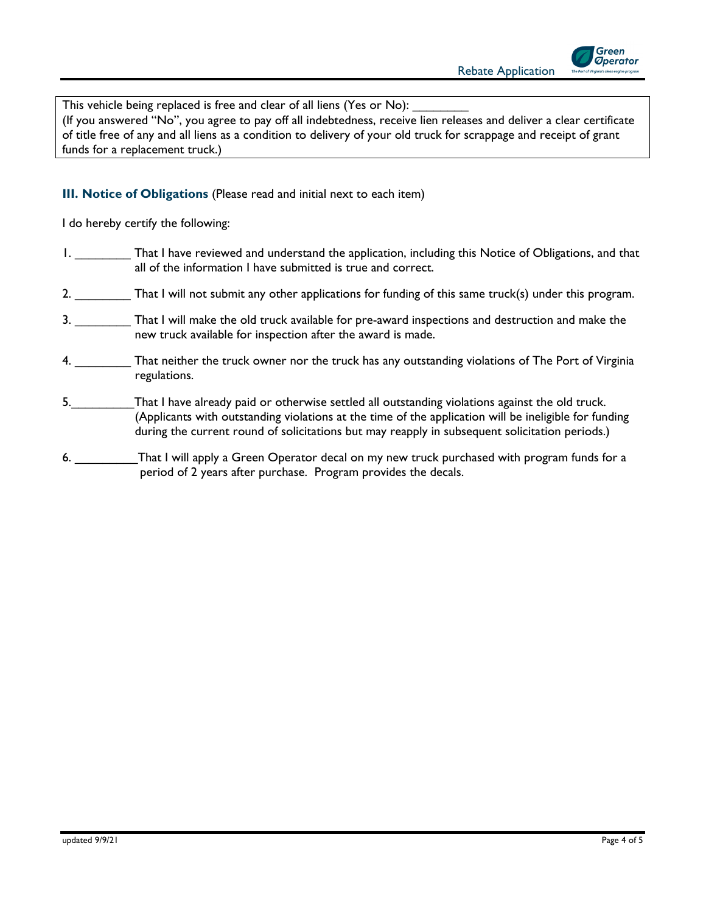

This vehicle being replaced is free and clear of all liens (Yes or No): (If you answered "No", you agree to pay off all indebtedness, receive lien releases and deliver a clear certificate of title free of any and all liens as a condition to delivery of your old truck for scrappage and receipt of grant funds for a replacement truck.)

## **III. Notice of Obligations** (Please read and initial next to each item)

I do hereby certify the following:

- 1. That I have reviewed and understand the application, including this Notice of Obligations, and that all of the information I have submitted is true and correct.
- 2. \_\_\_\_\_\_\_\_\_ That I will not submit any other applications for funding of this same truck(s) under this program.
- 3. \_\_\_\_\_\_\_\_\_ That I will make the old truck available for pre-award inspections and destruction and make the new truck available for inspection after the award is made.
- That neither the truck owner nor the truck has any outstanding violations of The Port of Virginia regulations.
- 5.\_\_\_\_\_\_\_\_\_That I have already paid or otherwise settled all outstanding violations against the old truck. (Applicants with outstanding violations at the time of the application will be ineligible for funding during the current round of solicitations but may reapply in subsequent solicitation periods.)
- 6. **That I will apply a Green Operator decal on my new truck purchased with program funds for a** period of 2 years after purchase. Program provides the decals.